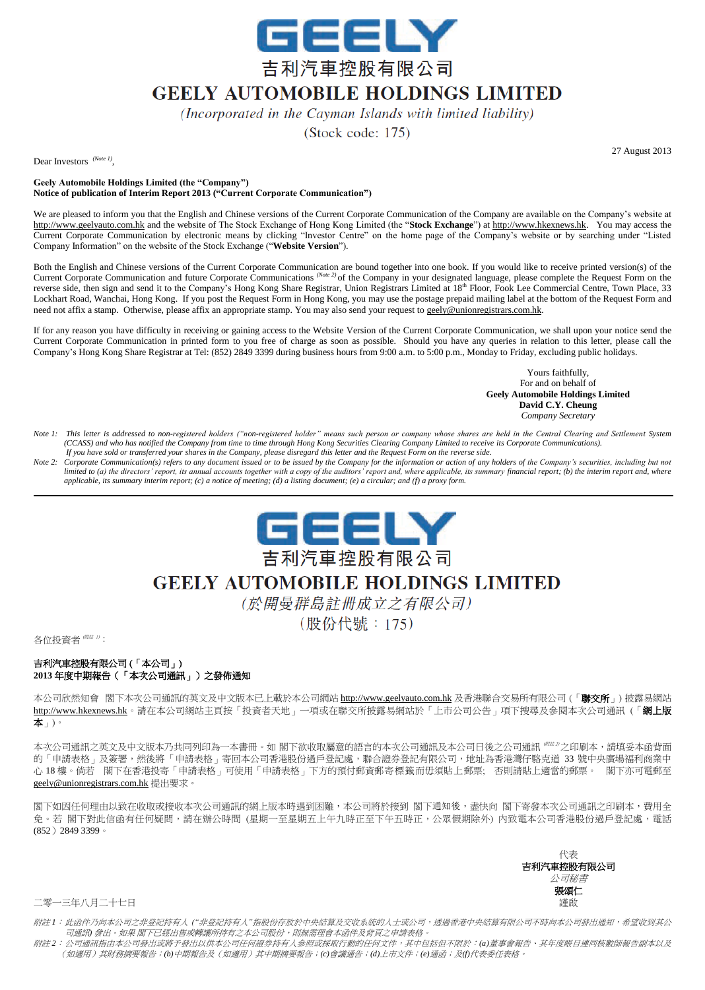

## **GEELY AUTOMOBILE HOLDINGS LIMITED**

(Incorporated in the Cayman Islands with limited liability)

 $(Stock code: 175)$ 

27 August 2013

Dear Investors <sup>(Note 1)</sup>,

**Geely Automobile Holdings Limited (the "Company") Notice of publication of Interim Report 2013 ("Current Corporate Communication")**

We are pleased to inform you that the English and Chinese versions of the Current Corporate Communication of the Company are available on the Company's website at http://www.geelyauto.com.hk and the website of The Stock Exchange of Hong Kong Limited (the "**Stock Exchange**") at http://www.hkexnews.hk. You may access the Current Corporate Communication by electronic means by clicking "Investor Centre" on the home page of the Company's website or by searching under "Listed Company Information" on the website of the Stock Exchange ("**Website Version**").

Both the English and Chinese versions of the Current Corporate Communication are bound together into one book. If you would like to receive printed version(s) of the Current Corporate Communication and future Corporate Communications *(Note 2)* of the Company in your designated language, please complete the Request Form on the reverse side, then sign and send it to the Company's Hong Kong Share Registrar, Union Registrars Limited at 18<sup>th</sup> Floor, Fook Lee Commercial Centre, Town Place, 33 Lockhart Road, Wanchai, Hong Kong. If you post the Request Form in Hong Kong, you may use the postage prepaid mailing label at the bottom of the Request Form and need not affix a stamp. Otherwise, please affix an appropriate stamp. You may also send your request to geely@unionregistrars.com.hk.

If for any reason you have difficulty in receiving or gaining access to the Website Version of the Current Corporate Communication, we shall upon your notice send the Current Corporate Communication in printed form to you free of charge as soon as possible. Should you have any queries in relation to this letter, please call the Company's Hong Kong Share Registrar at Tel: (852) 2849 3399 during business hours from 9:00 a.m. to 5:00 p.m., Monday to Friday, excluding public holidays.

> Yours faithfully, For and on behalf of **Geely Automobile Holdings Limited David C.Y. Cheung** *Company Secretary*

- *Note 1: This letter is addressed to non-registered holders ("non-registered holder" means such person or company whose shares are held in the Central Clearing and Settlement System (CCASS) and who has notified the Company from time to time through Hong Kong Securities Clearing Company Limited to receive its Corporate Communications). If you have sold or transferred your shares in the Company, please disregard this letter and the Request Form on the reverse side.*
- *Note 2: Corporate Communication(s) refers to any document issued or to be issued by the Company for the information or action of any holders of the Company's securities, including but not limited to (a) the directors' report, its annual accounts together with a copy of the auditors' report and, where applicable, its summary financial report; (b) the interim report and, where applicable, its summary interim report; (c) a notice of meeting; (d) a listing document; (e) a circular; and (f) a proxy form.*



## **GEELY AUTOMOBILE HOLDINGS LIMITED**

(於開曼群島註冊成立之有限公司)

(股份代號: 175)

各位投資者 (附註 1):

## 吉利汽車控股有限公司 (「本公司」) **2013** 年度中期報告(「本次公司通訊」)之發佈通知

本公司依然知會 閣下本次公司通訊的英文及中文版本已上載於本公司網站 http://www.geelyauto.com.hk 及香港聯合交易所有限公司 (「**聯交所**」) 披露易網站 http://www.hkexnews.hk。請在本公司網站主頁按「投資者天地」一項或在聯交所披露易網站於「上市公司公告」項下搜尋及參閱本次公司通訊 (「網上版 本」)。

本次公司通訊之英文及中文版本乃共同列印為一本書冊。如 閣下欲收取屬意的語言的本次公司通訊及本公司日後之公司通訊 (附註 2) 之印刷本,請填妥本函背面 的「申請表格」及簽署,然後將「申請表格」寄回本公司香港股份過戶登記處,聯合證券登記有限公司,地址為香港灣仔駱克道 33 號中央廣場福利商業中 心 18 樓。倘若 閣下在香港投寄「申請表格」可使用「申請表格」下方的預付郵資郵寄標籤而毋須貼上郵票; 否則請貼上適當的郵票。 閣下亦可電郵至 geely@unionregistrars.com.hk 提出要求。

閣下如因任何理由以致在收取或接收本次公司通訊的網上版本時遇到困難,本公司將於接到 閣下通知後,盡快向 閣下寄發本次公司通訊之印刷本,費用全 免。若 閣下對此信函有任何疑問,請在辦公時間 (星期一至星期五上午九時正至下午五時正,公眾假期除外) 内致電本公司香港股份過戶登記處,電話 (852)2849 3399。

> 代表 吉利汽車控股有限公司 公司秘書 張頌仁

二零一三年八月二十七日 善 こうしょう しょうしょう しょうしょう しゅうしゅん こうしゅう かいしゅう きょうかい 謹啟

附註 *1*:此函件乃向本公司之非登記持有人 *("*非登記持有人*"*指股份存放於中央結算及交收系統的人士或公司,透過香港中央結算有限公司不時向本公司發出通知,希望收到其公 司通訊*)* 發出。如果 閣下已經出售或轉讓所持有之本公司股份,則無需理會本函件及背頁之申請表格。

附註 *2*:公司通訊指由本公司發出或將予發出以供本公司任何證券持有人參照或採取行動的任何文件,其中包括但不限於:*(a)*董事會報告、其年度賬目連同核數師報告副本以及 (如適用)其財務摘要報告;*(b)*中期報告及(如適用)其中期摘要報告;*(c)*會議通告;*(d)*上市文件;*(e)*通函;及*(f)*代表委任表格。